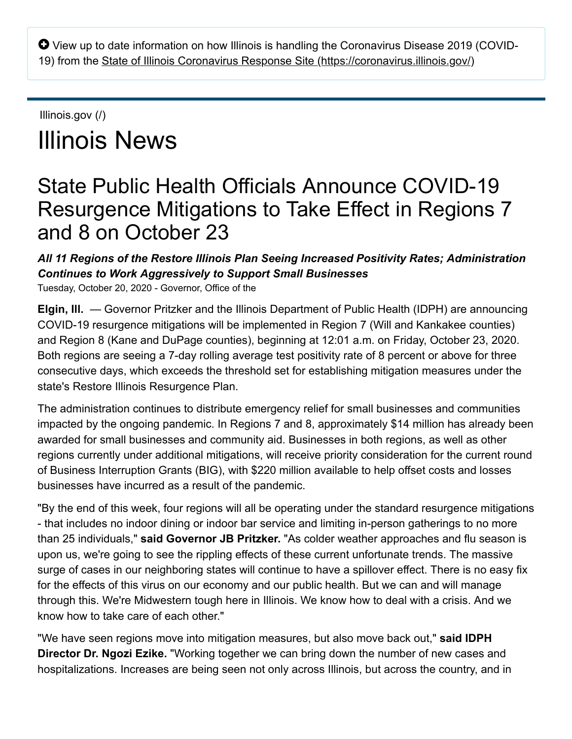$\bullet$  View up to date information on how Illinois is handling the Coronavirus Disease 2019 (COVID-19) from the [State of Illinois Coronavirus Response Site \(https://coronavirus.illinois.gov/\)](https://coronavirus.illinois.gov/)

# [Illinois.gov \(/\)](https://www2.illinois.gov/) Illinois News

# State Public Health Officials Announce COVID-19 Resurgence Mitigations to Take Effect in Regions 7 and 8 on October 23

## *All 11 Regions of the Restore Illinois Plan Seeing Increased Positivity Rates; Administration Continues to Work Aggressively to Support Small Businesses*

Tuesday, October 20, 2020 - Governor, Office of the

**Elgin, Ill.** — Governor Pritzker and the Illinois Department of Public Health (IDPH) are announcing COVID-19 resurgence mitigations will be implemented in Region 7 (Will and Kankakee counties) and Region 8 (Kane and DuPage counties), beginning at 12:01 a.m. on Friday, October 23, 2020. Both regions are seeing a 7-day rolling average test positivity rate of 8 percent or above for three consecutive days, which exceeds the threshold set for establishing mitigation measures under the state's Restore Illinois Resurgence Plan.

The administration continues to distribute emergency relief for small businesses and communities impacted by the ongoing pandemic. In Regions 7 and 8, approximately \$14 million has already been awarded for small businesses and community aid. Businesses in both regions, as well as other regions currently under additional mitigations, will receive priority consideration for the current round of Business Interruption Grants (BIG), with \$220 million available to help offset costs and losses businesses have incurred as a result of the pandemic.

"By the end of this week, four regions will all be operating under the standard resurgence mitigations - that includes no indoor dining or indoor bar service and limiting in-person gatherings to no more than 25 individuals," **said Governor JB Pritzker.** "As colder weather approaches and flu season is upon us, we're going to see the rippling effects of these current unfortunate trends. The massive surge of cases in our neighboring states will continue to have a spillover effect. There is no easy fix for the effects of this virus on our economy and our public health. But we can and will manage through this. We're Midwestern tough here in Illinois. We know how to deal with a crisis. And we know how to take care of each other."

"We have seen regions move into mitigation measures, but also move back out," **said IDPH Director Dr. Ngozi Ezike.** "Working together we can bring down the number of new cases and hospitalizations. Increases are being seen not only across Illinois, but across the country, and in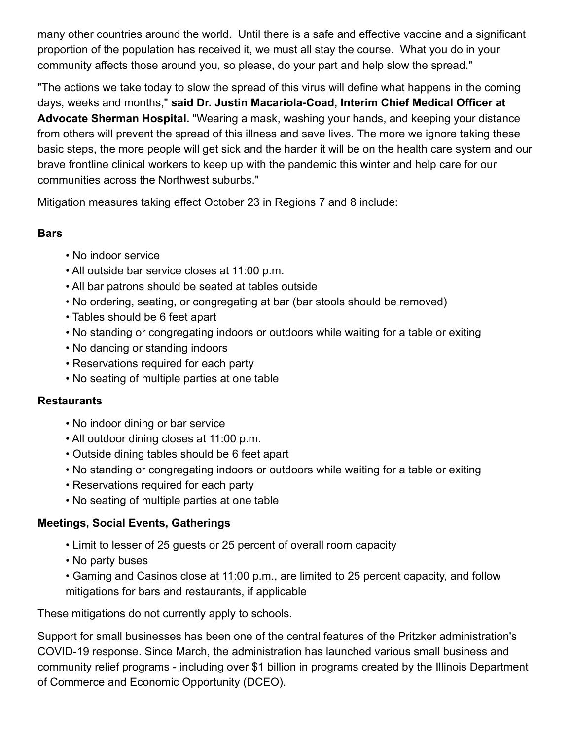many other countries around the world. Until there is a safe and effective vaccine and a significant proportion of the population has received it, we must all stay the course. What you do in your community affects those around you, so please, do your part and help slow the spread."

"The actions we take today to slow the spread of this virus will define what happens in the coming days, weeks and months," **said Dr. Justin Macariola-Coad, Interim Chief Medical Officer at Advocate Sherman Hospital.** "Wearing a mask, washing your hands, and keeping your distance from others will prevent the spread of this illness and save lives. The more we ignore taking these basic steps, the more people will get sick and the harder it will be on the health care system and our brave frontline clinical workers to keep up with the pandemic this winter and help care for our communities across the Northwest suburbs."

Mitigation measures taking effect October 23 in Regions 7 and 8 include:

#### **Bars**

- No indoor service
- All outside bar service closes at 11:00 p.m.
- All bar patrons should be seated at tables outside
- No ordering, seating, or congregating at bar (bar stools should be removed)
- Tables should be 6 feet apart
- No standing or congregating indoors or outdoors while waiting for a table or exiting
- No dancing or standing indoors
- Reservations required for each party
- No seating of multiple parties at one table

#### **Restaurants**

- No indoor dining or bar service
- All outdoor dining closes at 11:00 p.m.
- Outside dining tables should be 6 feet apart
- No standing or congregating indoors or outdoors while waiting for a table or exiting
- Reservations required for each party
- No seating of multiple parties at one table

#### **Meetings, Social Events, Gatherings**

- Limit to lesser of 25 guests or 25 percent of overall room capacity
- No party buses
- Gaming and Casinos close at 11:00 p.m., are limited to 25 percent capacity, and follow mitigations for bars and restaurants, if applicable

These mitigations do not currently apply to schools.

Support for small businesses has been one of the central features of the Pritzker administration's COVID-19 response. Since March, the administration has launched various small business and community relief programs - including over \$1 billion in programs created by the Illinois Department of Commerce and Economic Opportunity (DCEO).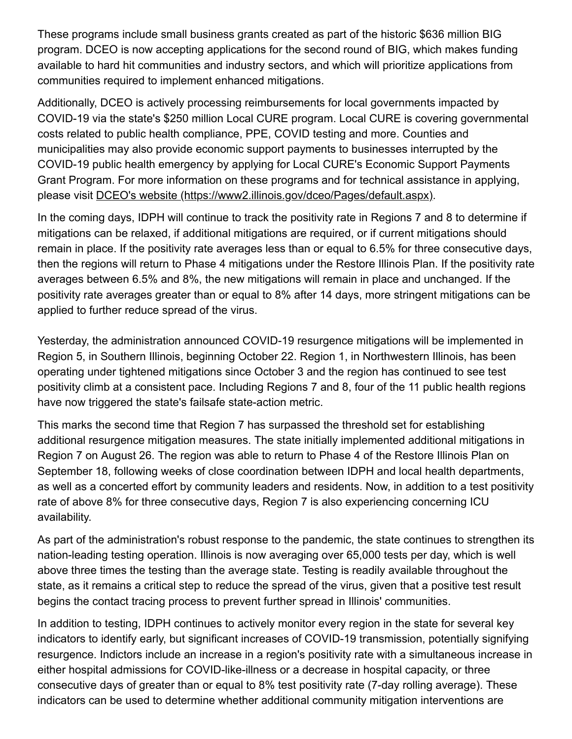These programs include small business grants created as part of the historic \$636 million BIG program. DCEO is now accepting applications for the second round of BIG, which makes funding available to hard hit communities and industry sectors, and which will prioritize applications from communities required to implement enhanced mitigations.

Additionally, DCEO is actively processing reimbursements for local governments impacted by COVID-19 via the state's \$250 million Local CURE program. Local CURE is covering governmental costs related to public health compliance, PPE, COVID testing and more. Counties and municipalities may also provide economic support payments to businesses interrupted by the COVID-19 public health emergency by applying for Local CURE's Economic Support Payments Grant Program. For more information on these programs and for technical assistance in applying, please visit [DCEO's website \(https://www2.illinois.gov/dceo/Pages/default.aspx\)](https://www2.illinois.gov/dceo/Pages/default.aspx).

In the coming days, IDPH will continue to track the positivity rate in Regions 7 and 8 to determine if mitigations can be relaxed, if additional mitigations are required, or if current mitigations should remain in place. If the positivity rate averages less than or equal to 6.5% for three consecutive days, then the regions will return to Phase 4 mitigations under the Restore Illinois Plan. If the positivity rate averages between 6.5% and 8%, the new mitigations will remain in place and unchanged. If the positivity rate averages greater than or equal to 8% after 14 days, more stringent mitigations can be applied to further reduce spread of the virus.

Yesterday, the administration announced COVID-19 resurgence mitigations will be implemented in Region 5, in Southern Illinois, beginning October 22. Region 1, in Northwestern Illinois, has been operating under tightened mitigations since October 3 and the region has continued to see test positivity climb at a consistent pace. Including Regions 7 and 8, four of the 11 public health regions have now triggered the state's failsafe state-action metric.

This marks the second time that Region 7 has surpassed the threshold set for establishing additional resurgence mitigation measures. The state initially implemented additional mitigations in Region 7 on August 26. The region was able to return to Phase 4 of the Restore Illinois Plan on September 18, following weeks of close coordination between IDPH and local health departments, as well as a concerted effort by community leaders and residents. Now, in addition to a test positivity rate of above 8% for three consecutive days, Region 7 is also experiencing concerning ICU availability.

As part of the administration's robust response to the pandemic, the state continues to strengthen its nation-leading testing operation. Illinois is now averaging over 65,000 tests per day, which is well above three times the testing than the average state. Testing is readily available throughout the state, as it remains a critical step to reduce the spread of the virus, given that a positive test result begins the contact tracing process to prevent further spread in Illinois' communities.

In addition to testing, IDPH continues to actively monitor every region in the state for several key indicators to identify early, but significant increases of COVID-19 transmission, potentially signifying resurgence. Indictors include an increase in a region's positivity rate with a simultaneous increase in either hospital admissions for COVID-like-illness or a decrease in hospital capacity, or three consecutive days of greater than or equal to 8% test positivity rate (7-day rolling average). These indicators can be used to determine whether additional community mitigation interventions are